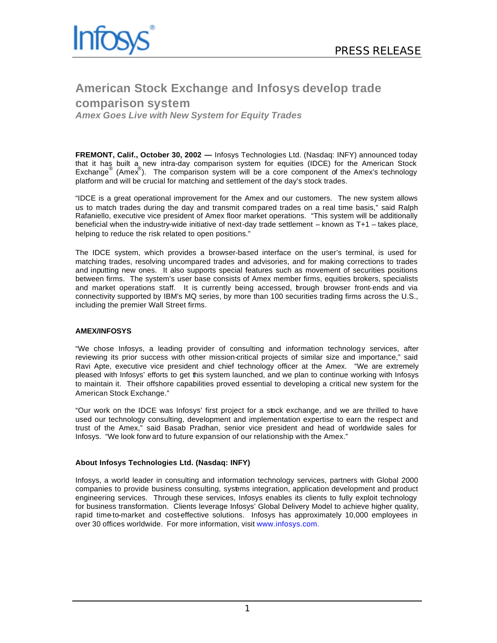

# **American Stock Exchange and Infosys develop trade comparison system**

*Amex Goes Live with New System for Equity Trades*

**FREMONT, Calif., October 30, 2002 —** Infosys Technologies Ltd. (Nasdaq: INFY) announced today that it has built a new intra-day comparison system for equities (IDCE) for the American Stock Exchange<sup>®</sup> (Amex<sup>®</sup>). The comparison system will be a core component of the Amex's technology platform and will be crucial for matching and settlement of the day's stock trades.

"IDCE is a great operational improvement for the Amex and our customers. The new system allows us to match trades during the day and transmit compared trades on a real time basis," said Ralph Rafaniello, executive vice president of Amex floor market operations. "This system will be additionally beneficial when the industry-wide initiative of next-day trade settlement – known as T+1 – takes place, helping to reduce the risk related to open positions."

The IDCE system, which provides a browser-based interface on the user's terminal, is used for matching trades, resolving uncompared trades and advisories, and for making corrections to trades and inputting new ones. It also supports special features such as movement of securities positions between firms. The system's user base consists of Amex member firms, equities brokers, specialists and market operations staff. It is currently being accessed, through browser front-ends and via connectivity supported by IBM's MQ series, by more than 100 securities trading firms across the U.S., including the premier Wall Street firms.

# **AMEX/INFOSYS**

"We chose Infosys, a leading provider of consulting and information technology services, after reviewing its prior success with other mission-critical projects of similar size and importance," said Ravi Apte, executive vice president and chief technology officer at the Amex. "We are extremely pleased with Infosys' efforts to get this system launched, and we plan to continue working with Infosys to maintain it. Their offshore capabilities proved essential to developing a critical new system for the American Stock Exchange."

"Our work on the IDCE was Infosys' first project for a stock exchange, and we are thrilled to have used our technology consulting, development and implementation expertise to earn the respect and trust of the Amex," said Basab Pradhan, senior vice president and head of worldwide sales for Infosys. "We look forw ard to future expansion of our relationship with the Amex."

#### **About Infosys Technologies Ltd. (Nasdaq: INFY)**

Infosys, a world leader in consulting and information technology services, partners with Global 2000 companies to provide business consulting, systems integration, application development and product engineering services. Through these services, Infosys enables its clients to fully exploit technology for business transformation. Clients leverage Infosys' Global Delivery Model to achieve higher quality, rapid time-to-market and cost-effective solutions. Infosys has approximately 10,000 employees in over 30 offices worldwide. For more information, visit www.infosys.com.